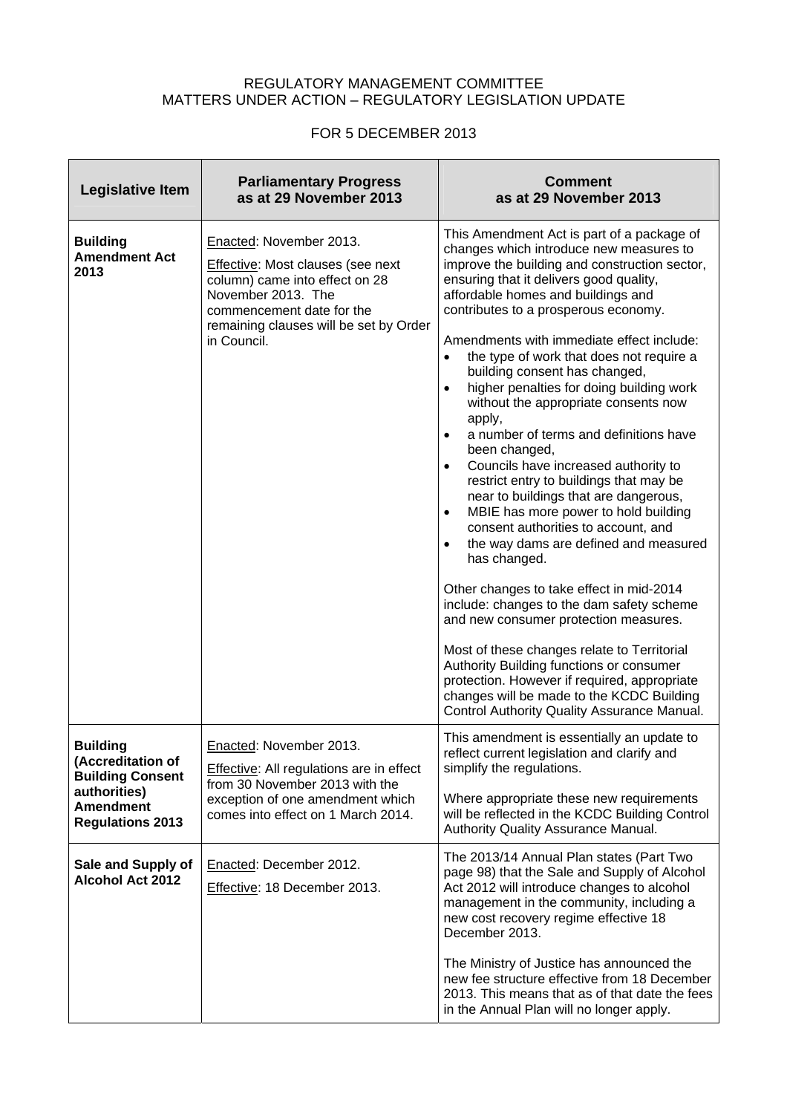## REGULATORY MANAGEMENT COMMITTEE MATTERS UNDER ACTION – REGULATORY LEGISLATION UPDATE

## FOR 5 DECEMBER 2013

| <b>Legislative Item</b>                                                                                                        | <b>Parliamentary Progress</b><br>as at 29 November 2013                                                                                                                                                           | <b>Comment</b><br>as at 29 November 2013                                                                                                                                                                                                                                                                                                                                                                                                                                                                                                                                                                                                                                                                                                                                                                                                                                                                                                                                                                                                                                                                                                                                                                                                                         |
|--------------------------------------------------------------------------------------------------------------------------------|-------------------------------------------------------------------------------------------------------------------------------------------------------------------------------------------------------------------|------------------------------------------------------------------------------------------------------------------------------------------------------------------------------------------------------------------------------------------------------------------------------------------------------------------------------------------------------------------------------------------------------------------------------------------------------------------------------------------------------------------------------------------------------------------------------------------------------------------------------------------------------------------------------------------------------------------------------------------------------------------------------------------------------------------------------------------------------------------------------------------------------------------------------------------------------------------------------------------------------------------------------------------------------------------------------------------------------------------------------------------------------------------------------------------------------------------------------------------------------------------|
| <b>Building</b><br><b>Amendment Act</b><br>2013                                                                                | Enacted: November 2013.<br><b>Effective: Most clauses (see next</b><br>column) came into effect on 28<br>November 2013. The<br>commencement date for the<br>remaining clauses will be set by Order<br>in Council. | This Amendment Act is part of a package of<br>changes which introduce new measures to<br>improve the building and construction sector,<br>ensuring that it delivers good quality,<br>affordable homes and buildings and<br>contributes to a prosperous economy.<br>Amendments with immediate effect include:<br>the type of work that does not require a<br>building consent has changed,<br>higher penalties for doing building work<br>$\bullet$<br>without the appropriate consents now<br>apply,<br>a number of terms and definitions have<br>$\bullet$<br>been changed,<br>Councils have increased authority to<br>$\bullet$<br>restrict entry to buildings that may be<br>near to buildings that are dangerous,<br>MBIE has more power to hold building<br>$\bullet$<br>consent authorities to account, and<br>the way dams are defined and measured<br>$\bullet$<br>has changed.<br>Other changes to take effect in mid-2014<br>include: changes to the dam safety scheme<br>and new consumer protection measures.<br>Most of these changes relate to Territorial<br>Authority Building functions or consumer<br>protection. However if required, appropriate<br>changes will be made to the KCDC Building<br>Control Authority Quality Assurance Manual. |
| <b>Building</b><br>(Accreditation of<br><b>Building Consent</b><br>authorities)<br><b>Amendment</b><br><b>Regulations 2013</b> | Enacted: November 2013.<br><b>Effective:</b> All regulations are in effect<br>from 30 November 2013 with the<br>exception of one amendment which<br>comes into effect on 1 March 2014.                            | This amendment is essentially an update to<br>reflect current legislation and clarify and<br>simplify the regulations.<br>Where appropriate these new requirements<br>will be reflected in the KCDC Building Control<br>Authority Quality Assurance Manual.                                                                                                                                                                                                                                                                                                                                                                                                                                                                                                                                                                                                                                                                                                                                                                                                                                                                                                                                                                                                      |
| Sale and Supply of<br><b>Alcohol Act 2012</b>                                                                                  | Enacted: December 2012.<br>Effective: 18 December 2013.                                                                                                                                                           | The 2013/14 Annual Plan states (Part Two<br>page 98) that the Sale and Supply of Alcohol<br>Act 2012 will introduce changes to alcohol<br>management in the community, including a<br>new cost recovery regime effective 18<br>December 2013.                                                                                                                                                                                                                                                                                                                                                                                                                                                                                                                                                                                                                                                                                                                                                                                                                                                                                                                                                                                                                    |
|                                                                                                                                |                                                                                                                                                                                                                   | The Ministry of Justice has announced the<br>new fee structure effective from 18 December<br>2013. This means that as of that date the fees<br>in the Annual Plan will no longer apply.                                                                                                                                                                                                                                                                                                                                                                                                                                                                                                                                                                                                                                                                                                                                                                                                                                                                                                                                                                                                                                                                          |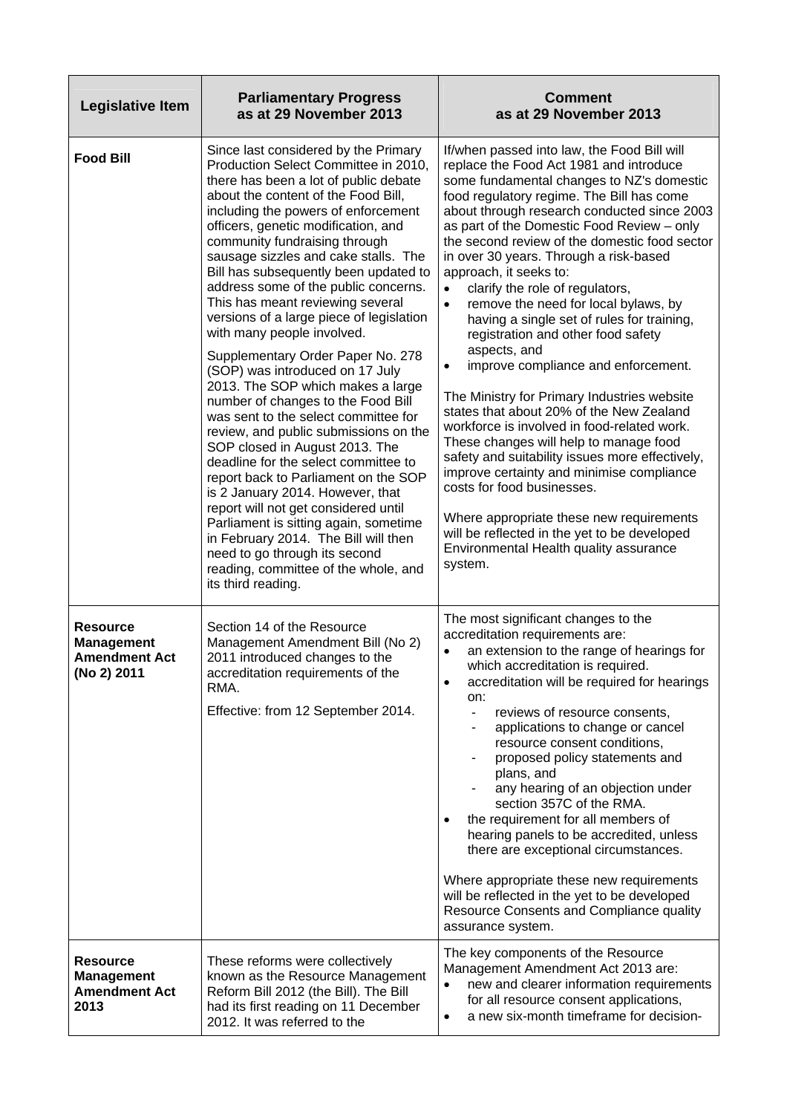| <b>Legislative Item</b>                                                     | <b>Parliamentary Progress</b><br>as at 29 November 2013                                                                                                                                                                                                                                                                                                                                                                                                                                                                                                                                                                                                                                                                                                                                                                                                                                                                                                                                                                                                                                                                              | <b>Comment</b><br>as at 29 November 2013                                                                                                                                                                                                                                                                                                                                                                                                                                                                                                                                                                                                                                                                                                                                                                                                                                                                                                                                                                                                                                                                                           |
|-----------------------------------------------------------------------------|--------------------------------------------------------------------------------------------------------------------------------------------------------------------------------------------------------------------------------------------------------------------------------------------------------------------------------------------------------------------------------------------------------------------------------------------------------------------------------------------------------------------------------------------------------------------------------------------------------------------------------------------------------------------------------------------------------------------------------------------------------------------------------------------------------------------------------------------------------------------------------------------------------------------------------------------------------------------------------------------------------------------------------------------------------------------------------------------------------------------------------------|------------------------------------------------------------------------------------------------------------------------------------------------------------------------------------------------------------------------------------------------------------------------------------------------------------------------------------------------------------------------------------------------------------------------------------------------------------------------------------------------------------------------------------------------------------------------------------------------------------------------------------------------------------------------------------------------------------------------------------------------------------------------------------------------------------------------------------------------------------------------------------------------------------------------------------------------------------------------------------------------------------------------------------------------------------------------------------------------------------------------------------|
| <b>Food Bill</b>                                                            | Since last considered by the Primary<br>Production Select Committee in 2010,<br>there has been a lot of public debate<br>about the content of the Food Bill,<br>including the powers of enforcement<br>officers, genetic modification, and<br>community fundraising through<br>sausage sizzles and cake stalls. The<br>Bill has subsequently been updated to<br>address some of the public concerns.<br>This has meant reviewing several<br>versions of a large piece of legislation<br>with many people involved.<br>Supplementary Order Paper No. 278<br>(SOP) was introduced on 17 July<br>2013. The SOP which makes a large<br>number of changes to the Food Bill<br>was sent to the select committee for<br>review, and public submissions on the<br>SOP closed in August 2013. The<br>deadline for the select committee to<br>report back to Parliament on the SOP<br>is 2 January 2014. However, that<br>report will not get considered until<br>Parliament is sitting again, sometime<br>in February 2014. The Bill will then<br>need to go through its second<br>reading, committee of the whole, and<br>its third reading. | If/when passed into law, the Food Bill will<br>replace the Food Act 1981 and introduce<br>some fundamental changes to NZ's domestic<br>food regulatory regime. The Bill has come<br>about through research conducted since 2003<br>as part of the Domestic Food Review - only<br>the second review of the domestic food sector<br>in over 30 years. Through a risk-based<br>approach, it seeks to:<br>clarify the role of regulators,<br>$\bullet$<br>remove the need for local bylaws, by<br>$\bullet$<br>having a single set of rules for training,<br>registration and other food safety<br>aspects, and<br>improve compliance and enforcement.<br>$\bullet$<br>The Ministry for Primary Industries website<br>states that about 20% of the New Zealand<br>workforce is involved in food-related work.<br>These changes will help to manage food<br>safety and suitability issues more effectively,<br>improve certainty and minimise compliance<br>costs for food businesses.<br>Where appropriate these new requirements<br>will be reflected in the yet to be developed<br>Environmental Health quality assurance<br>system. |
| <b>Resource</b><br><b>Management</b><br><b>Amendment Act</b><br>(No 2) 2011 | Section 14 of the Resource<br>Management Amendment Bill (No 2)<br>2011 introduced changes to the<br>accreditation requirements of the<br>RMA.<br>Effective: from 12 September 2014.                                                                                                                                                                                                                                                                                                                                                                                                                                                                                                                                                                                                                                                                                                                                                                                                                                                                                                                                                  | The most significant changes to the<br>accreditation requirements are:<br>an extension to the range of hearings for<br>$\bullet$<br>which accreditation is required.<br>accreditation will be required for hearings<br>$\bullet$<br>on:<br>reviews of resource consents,<br>$\overline{\phantom{0}}$<br>applications to change or cancel<br>resource consent conditions,<br>proposed policy statements and<br>plans, and<br>any hearing of an objection under<br>section 357C of the RMA.<br>the requirement for all members of<br>$\bullet$<br>hearing panels to be accredited, unless<br>there are exceptional circumstances.<br>Where appropriate these new requirements<br>will be reflected in the yet to be developed<br>Resource Consents and Compliance quality<br>assurance system.                                                                                                                                                                                                                                                                                                                                       |
| <b>Resource</b><br><b>Management</b><br><b>Amendment Act</b><br>2013        | These reforms were collectively<br>known as the Resource Management<br>Reform Bill 2012 (the Bill). The Bill<br>had its first reading on 11 December<br>2012. It was referred to the                                                                                                                                                                                                                                                                                                                                                                                                                                                                                                                                                                                                                                                                                                                                                                                                                                                                                                                                                 | The key components of the Resource<br>Management Amendment Act 2013 are:<br>new and clearer information requirements<br>$\bullet$<br>for all resource consent applications,<br>a new six-month timeframe for decision-<br>$\bullet$                                                                                                                                                                                                                                                                                                                                                                                                                                                                                                                                                                                                                                                                                                                                                                                                                                                                                                |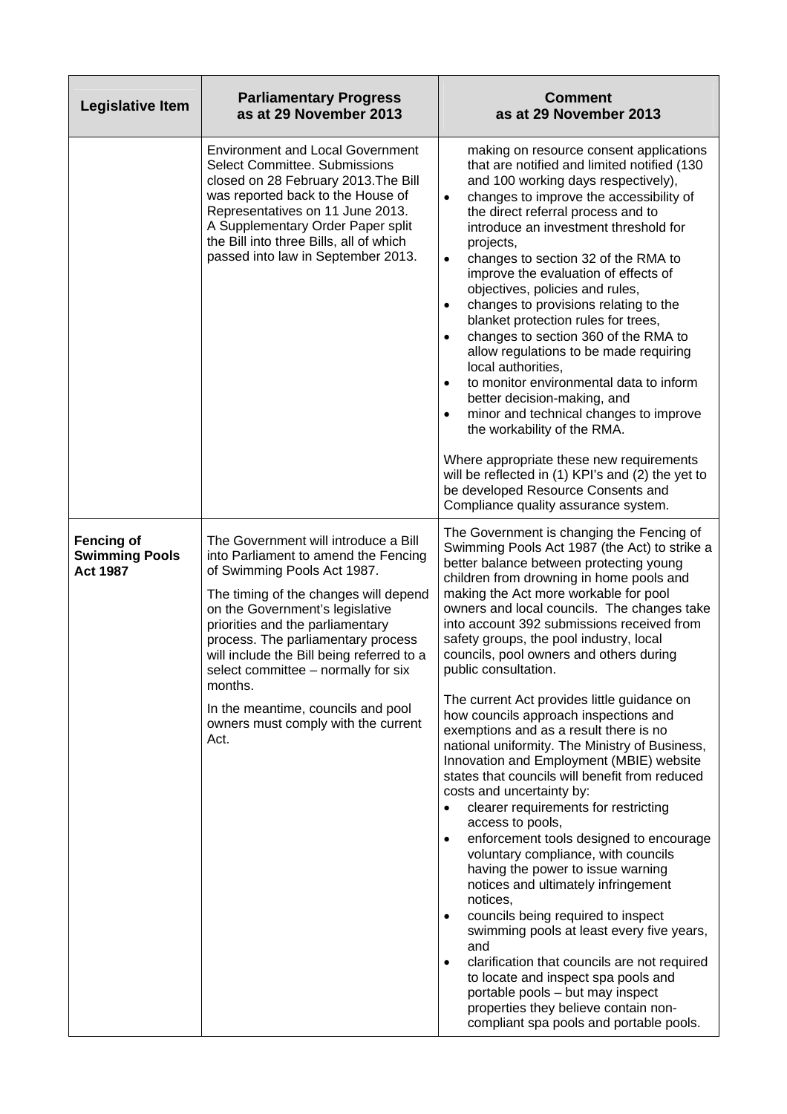| Legislative Item                                              | <b>Parliamentary Progress</b><br>as at 29 November 2013                                                                                                                                                                                                                                                                                                                                                                                               | <b>Comment</b><br>as at 29 November 2013                                                                                                                                                                                                                                                                                                                                                                                                                                                                                                                                                                                                                                                                                                                                                                                                                                                                                                                                                                                                                                                                                                                                                                                                                                                                                                  |
|---------------------------------------------------------------|-------------------------------------------------------------------------------------------------------------------------------------------------------------------------------------------------------------------------------------------------------------------------------------------------------------------------------------------------------------------------------------------------------------------------------------------------------|-------------------------------------------------------------------------------------------------------------------------------------------------------------------------------------------------------------------------------------------------------------------------------------------------------------------------------------------------------------------------------------------------------------------------------------------------------------------------------------------------------------------------------------------------------------------------------------------------------------------------------------------------------------------------------------------------------------------------------------------------------------------------------------------------------------------------------------------------------------------------------------------------------------------------------------------------------------------------------------------------------------------------------------------------------------------------------------------------------------------------------------------------------------------------------------------------------------------------------------------------------------------------------------------------------------------------------------------|
|                                                               | <b>Environment and Local Government</b><br><b>Select Committee. Submissions</b><br>closed on 28 February 2013. The Bill<br>was reported back to the House of<br>Representatives on 11 June 2013.<br>A Supplementary Order Paper split<br>the Bill into three Bills, all of which<br>passed into law in September 2013.                                                                                                                                | making on resource consent applications<br>that are notified and limited notified (130<br>and 100 working days respectively),<br>changes to improve the accessibility of<br>$\bullet$<br>the direct referral process and to<br>introduce an investment threshold for<br>projects,<br>changes to section 32 of the RMA to<br>$\bullet$<br>improve the evaluation of effects of<br>objectives, policies and rules,<br>changes to provisions relating to the<br>$\bullet$<br>blanket protection rules for trees,<br>changes to section 360 of the RMA to<br>$\bullet$<br>allow regulations to be made requiring<br>local authorities,<br>to monitor environmental data to inform<br>$\bullet$<br>better decision-making, and<br>minor and technical changes to improve<br>$\bullet$<br>the workability of the RMA.<br>Where appropriate these new requirements<br>will be reflected in (1) KPI's and (2) the yet to<br>be developed Resource Consents and<br>Compliance quality assurance system.                                                                                                                                                                                                                                                                                                                                            |
| <b>Fencing of</b><br><b>Swimming Pools</b><br><b>Act 1987</b> | The Government will introduce a Bill<br>into Parliament to amend the Fencing<br>of Swimming Pools Act 1987.<br>The timing of the changes will depend<br>on the Government's legislative<br>priorities and the parliamentary<br>process. The parliamentary process<br>will include the Bill being referred to a<br>select committee - normally for six<br>months.<br>In the meantime, councils and pool<br>owners must comply with the current<br>Act. | The Government is changing the Fencing of<br>Swimming Pools Act 1987 (the Act) to strike a<br>better balance between protecting young<br>children from drowning in home pools and<br>making the Act more workable for pool<br>owners and local councils. The changes take<br>into account 392 submissions received from<br>safety groups, the pool industry, local<br>councils, pool owners and others during<br>public consultation.<br>The current Act provides little guidance on<br>how councils approach inspections and<br>exemptions and as a result there is no<br>national uniformity. The Ministry of Business,<br>Innovation and Employment (MBIE) website<br>states that councils will benefit from reduced<br>costs and uncertainty by:<br>clearer requirements for restricting<br>access to pools,<br>enforcement tools designed to encourage<br>$\bullet$<br>voluntary compliance, with councils<br>having the power to issue warning<br>notices and ultimately infringement<br>notices,<br>councils being required to inspect<br>$\bullet$<br>swimming pools at least every five years,<br>and<br>clarification that councils are not required<br>$\bullet$<br>to locate and inspect spa pools and<br>portable pools - but may inspect<br>properties they believe contain non-<br>compliant spa pools and portable pools. |